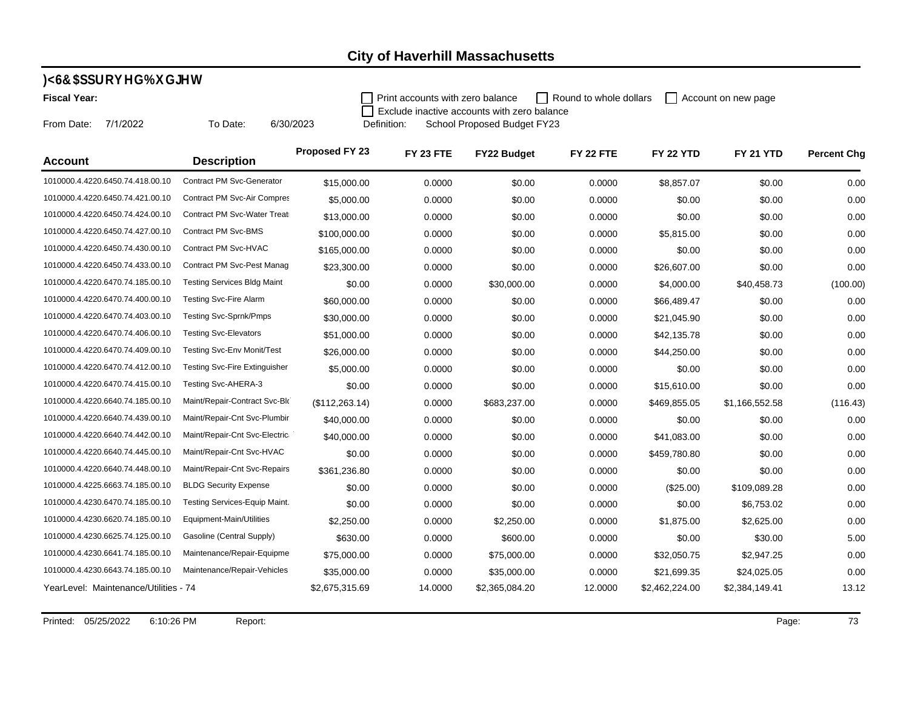#### **)<6&\$SSURYHG%XGJHW**

**Fiscal Year:** 

Print accounts with zero balance Round to whole dollars  $\Box$  Account on new page

From Date: 7/1/2022

To Date: 6/30/2023

Definition: School Proposed Budget FY23 Exclude inactive accounts with zero balance

| <b>Account</b>                        | <b>Description</b>                   | <b>Proposed FY 23</b> | FY 23 FTE | FY22 Budget    | FY 22 FTE | <b>FY 22 YTD</b> | <b>FY 21 YTD</b> | <b>Percent Chg</b> |
|---------------------------------------|--------------------------------------|-----------------------|-----------|----------------|-----------|------------------|------------------|--------------------|
| 1010000.4.4220.6450.74.418.00.10      | Contract PM Svc-Generator            | \$15,000.00           | 0.0000    | \$0.00         | 0.0000    | \$8.857.07       | \$0.00           | 0.00               |
| 1010000.4.4220.6450.74.421.00.10      | Contract PM Svc-Air Compres          | \$5,000.00            | 0.0000    | \$0.00         | 0.0000    | \$0.00           | \$0.00           | 0.00               |
| 1010000.4.4220.6450.74.424.00.10      | Contract PM Svc-Water Treati         | \$13,000.00           | 0.0000    | \$0.00         | 0.0000    | \$0.00           | \$0.00           | 0.00               |
| 1010000.4.4220.6450.74.427.00.10      | Contract PM Svc-BMS                  | \$100,000.00          | 0.0000    | \$0.00         | 0.0000    | \$5,815.00       | \$0.00           | 0.00               |
| 1010000.4.4220.6450.74.430.00.10      | Contract PM Svc-HVAC                 | \$165,000.00          | 0.0000    | \$0.00         | 0.0000    | \$0.00           | \$0.00           | 0.00               |
| 1010000.4.4220.6450.74.433.00.10      | Contract PM Svc-Pest Manag           | \$23,300.00           | 0.0000    | \$0.00         | 0.0000    | \$26,607.00      | \$0.00           | 0.00               |
| 1010000.4.4220.6470.74.185.00.10      | <b>Testing Services Bldg Maint</b>   | \$0.00                | 0.0000    | \$30,000.00    | 0.0000    | \$4,000.00       | \$40,458.73      | (100.00)           |
| 1010000.4.4220.6470.74.400.00.10      | <b>Testing Svc-Fire Alarm</b>        | \$60,000.00           | 0.0000    | \$0.00         | 0.0000    | \$66,489.47      | \$0.00           | 0.00               |
| 1010000.4.4220.6470.74.403.00.10      | Testing Svc-Sprnk/Pmps               | \$30,000.00           | 0.0000    | \$0.00         | 0.0000    | \$21,045.90      | \$0.00           | 0.00               |
| 1010000.4.4220.6470.74.406.00.10      | <b>Testing Svc-Elevators</b>         | \$51,000.00           | 0.0000    | \$0.00         | 0.0000    | \$42,135.78      | \$0.00           | 0.00               |
| 1010000.4.4220.6470.74.409.00.10      | <b>Testing Svc-Env Monit/Test</b>    | \$26,000.00           | 0.0000    | \$0.00         | 0.0000    | \$44,250.00      | \$0.00           | 0.00               |
| 1010000.4.4220.6470.74.412.00.10      | <b>Testing Svc-Fire Extinguisher</b> | \$5,000.00            | 0.0000    | \$0.00         | 0.0000    | \$0.00           | \$0.00           | 0.00               |
| 1010000.4.4220.6470.74.415.00.10      | Testing Svc-AHERA-3                  | \$0.00                | 0.0000    | \$0.00         | 0.0000    | \$15,610.00      | \$0.00           | 0.00               |
| 1010000.4.4220.6640.74.185.00.10      | Maint/Repair-Contract Svc-Blo        | (\$112,263.14)        | 0.0000    | \$683,237.00   | 0.0000    | \$469,855.05     | \$1,166,552.58   | (116.43)           |
| 1010000.4.4220.6640.74.439.00.10      | Maint/Repair-Cnt Svc-Plumbir         | \$40,000.00           | 0.0000    | \$0.00         | 0.0000    | \$0.00           | \$0.00           | 0.00               |
| 1010000.4.4220.6640.74.442.00.10      | Maint/Repair-Cnt Svc-Electric        | \$40,000.00           | 0.0000    | \$0.00         | 0.0000    | \$41,083.00      | \$0.00           | 0.00               |
| 1010000.4.4220.6640.74.445.00.10      | Maint/Repair-Cnt Svc-HVAC            | \$0.00                | 0.0000    | \$0.00         | 0.0000    | \$459,780.80     | \$0.00           | 0.00               |
| 1010000.4.4220.6640.74.448.00.10      | Maint/Repair-Cnt Svc-Repairs         | \$361,236.80          | 0.0000    | \$0.00         | 0.0000    | \$0.00           | \$0.00           | 0.00               |
| 1010000.4.4225.6663.74.185.00.10      | <b>BLDG Security Expense</b>         | \$0.00                | 0.0000    | \$0.00         | 0.0000    | (\$25.00)        | \$109,089.28     | 0.00               |
| 1010000.4.4230.6470.74.185.00.10      | Testing Services-Equip Maint.        | \$0.00                | 0.0000    | \$0.00         | 0.0000    | \$0.00           | \$6,753.02       | 0.00               |
| 1010000.4.4230.6620.74.185.00.10      | Equipment-Main/Utilities             | \$2,250.00            | 0.0000    | \$2,250.00     | 0.0000    | \$1,875.00       | \$2,625.00       | 0.00               |
| 1010000.4.4230.6625.74.125.00.10      | Gasoline (Central Supply)            | \$630.00              | 0.0000    | \$600.00       | 0.0000    | \$0.00           | \$30.00          | 5.00               |
| 1010000.4.4230.6641.74.185.00.10      | Maintenance/Repair-Equipme           | \$75,000.00           | 0.0000    | \$75,000.00    | 0.0000    | \$32,050.75      | \$2,947.25       | 0.00               |
| 1010000.4.4230.6643.74.185.00.10      | Maintenance/Repair-Vehicles          | \$35,000.00           | 0.0000    | \$35,000.00    | 0.0000    | \$21,699.35      | \$24,025.05      | 0.00               |
| YearLevel: Maintenance/Utilities - 74 |                                      | \$2,675,315.69        | 14.0000   | \$2,365,084.20 | 12.0000   | \$2,462,224.00   | \$2,384,149.41   | 13.12              |

Printed: 05/25/2022 6:10:26 PM Report: Report: 73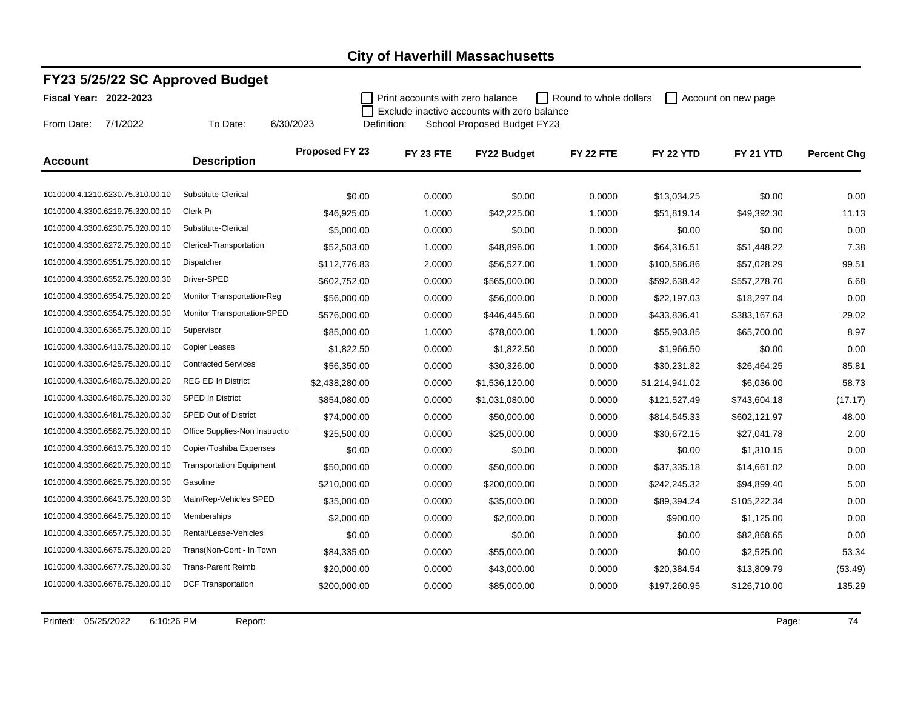### **FY23 5/25/22 SC Approved Budget**

To Date: 6/30/2023

**Fiscal Year: 2022-2023**

From Date: 7/1/2022

**Print accounts with zero balance** Round to whole dollars  $\Box$  Account on new page  $\Box$  Exclude inactive accounts with zero balance

Definition: School Proposed Budget FY23

| <b>Account</b>                   | <b>Description</b>                | Proposed FY 23 | FY 23 FTE | <b>FY22 Budget</b> | FY 22 FTE | <b>FY 22 YTD</b> | FY 21 YTD    | <b>Percent Chg</b> |
|----------------------------------|-----------------------------------|----------------|-----------|--------------------|-----------|------------------|--------------|--------------------|
|                                  |                                   |                |           |                    |           |                  |              |                    |
| 1010000.4.1210.6230.75.310.00.10 | Substitute-Clerical               | \$0.00         | 0.0000    | \$0.00             | 0.0000    | \$13,034.25      | \$0.00       | 0.00               |
| 1010000.4.3300.6219.75.320.00.10 | Clerk-Pr                          | \$46,925.00    | 1.0000    | \$42,225.00        | 1.0000    | \$51,819.14      | \$49,392.30  | 11.13              |
| 1010000.4.3300.6230.75.320.00.10 | Substitute-Clerical               | \$5,000.00     | 0.0000    | \$0.00             | 0.0000    | \$0.00           | \$0.00       | 0.00               |
| 1010000.4.3300.6272.75.320.00.10 | Clerical-Transportation           | \$52,503.00    | 1.0000    | \$48,896.00        | 1.0000    | \$64,316.51      | \$51,448.22  | 7.38               |
| 1010000.4.3300.6351.75.320.00.10 | Dispatcher                        | \$112,776.83   | 2.0000    | \$56,527.00        | 1.0000    | \$100,586.86     | \$57,028.29  | 99.51              |
| 1010000.4.3300.6352.75.320.00.30 | Driver-SPED                       | \$602,752.00   | 0.0000    | \$565,000.00       | 0.0000    | \$592,638.42     | \$557,278.70 | 6.68               |
| 1010000.4.3300.6354.75.320.00.20 | <b>Monitor Transportation-Reg</b> | \$56,000.00    | 0.0000    | \$56,000.00        | 0.0000    | \$22,197.03      | \$18,297.04  | 0.00               |
| 1010000.4.3300.6354.75.320.00.30 | Monitor Transportation-SPED       | \$576,000.00   | 0.0000    | \$446,445.60       | 0.0000    | \$433,836.41     | \$383,167.63 | 29.02              |
| 1010000.4.3300.6365.75.320.00.10 | Supervisor                        | \$85,000.00    | 1.0000    | \$78,000.00        | 1.0000    | \$55,903.85      | \$65,700.00  | 8.97               |
| 1010000.4.3300.6413.75.320.00.10 | Copier Leases                     | \$1,822.50     | 0.0000    | \$1,822.50         | 0.0000    | \$1,966.50       | \$0.00       | 0.00               |
| 1010000.4.3300.6425.75.320.00.10 | <b>Contracted Services</b>        | \$56,350.00    | 0.0000    | \$30,326.00        | 0.0000    | \$30,231.82      | \$26,464.25  | 85.81              |
| 1010000.4.3300.6480.75.320.00.20 | <b>REG ED In District</b>         | \$2,438,280.00 | 0.0000    | \$1,536,120.00     | 0.0000    | \$1,214,941.02   | \$6,036.00   | 58.73              |
| 1010000.4.3300.6480.75.320.00.30 | <b>SPED In District</b>           | \$854,080.00   | 0.0000    | \$1,031,080.00     | 0.0000    | \$121,527.49     | \$743,604.18 | (17.17)            |
| 1010000.4.3300.6481.75.320.00.30 | <b>SPED Out of District</b>       | \$74,000.00    | 0.0000    | \$50,000.00        | 0.0000    | \$814,545.33     | \$602,121.97 | 48.00              |
| 1010000.4.3300.6582.75.320.00.10 | Office Supplies-Non Instructio    | \$25,500.00    | 0.0000    | \$25,000.00        | 0.0000    | \$30,672.15      | \$27,041.78  | 2.00               |
| 1010000.4.3300.6613.75.320.00.10 | Copier/Toshiba Expenses           | \$0.00         | 0.0000    | \$0.00             | 0.0000    | \$0.00           | \$1,310.15   | 0.00               |
| 1010000.4.3300.6620.75.320.00.10 | <b>Transportation Equipment</b>   | \$50,000.00    | 0.0000    | \$50,000.00        | 0.0000    | \$37,335.18      | \$14,661.02  | 0.00               |
| 1010000.4.3300.6625.75.320.00.30 | Gasoline                          | \$210,000.00   | 0.0000    | \$200,000.00       | 0.0000    | \$242,245.32     | \$94,899.40  | 5.00               |
| 1010000.4.3300.6643.75.320.00.30 | Main/Rep-Vehicles SPED            | \$35,000.00    | 0.0000    | \$35,000.00        | 0.0000    | \$89,394.24      | \$105,222.34 | 0.00               |
| 1010000.4.3300.6645.75.320.00.10 | Memberships                       | \$2,000.00     | 0.0000    | \$2,000.00         | 0.0000    | \$900.00         | \$1,125.00   | 0.00               |
| 1010000.4.3300.6657.75.320.00.30 | Rental/Lease-Vehicles             | \$0.00         | 0.0000    | \$0.00             | 0.0000    | \$0.00           | \$82,868.65  | 0.00               |
| 1010000.4.3300.6675.75.320.00.20 | Trans(Non-Cont - In Town          | \$84,335.00    | 0.0000    | \$55,000.00        | 0.0000    | \$0.00           | \$2,525.00   | 53.34              |
| 1010000.4.3300.6677.75.320.00.30 | <b>Trans-Parent Reimb</b>         | \$20,000.00    | 0.0000    | \$43,000.00        | 0.0000    | \$20,384.54      | \$13,809.79  | (53.49)            |
| 1010000.4.3300.6678.75.320.00.10 | <b>DCF Transportation</b>         | \$200,000.00   | 0.0000    | \$85,000.00        | 0.0000    | \$197,260.95     | \$126,710.00 | 135.29             |
|                                  |                                   |                |           |                    |           |                  |              |                    |

Printed: 05/25/2022 6:10:26 PM Report: Report: Page: 74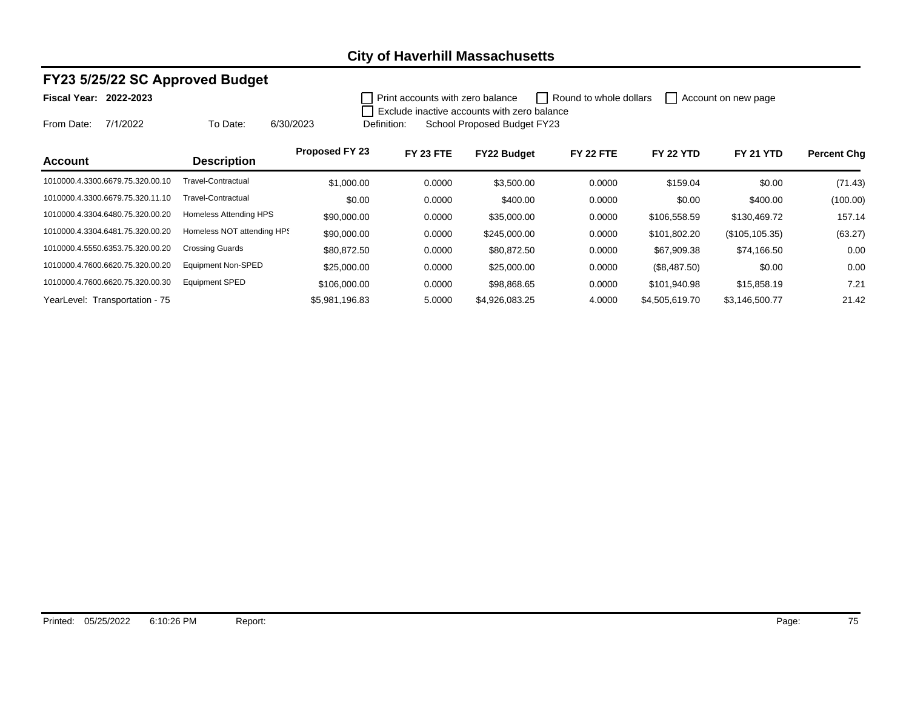### **FY23 5/25/22 SC Approved Budget**

To Date: 6/30/2023

#### **Fiscal Year: 2022-2023**

From Date: 7/1/2022

**Print accounts with zero balance** Round to whole dollars  $\Box$  Account on new page  $\Box$  Exclude inactive accounts with zero balance

Definition: School Proposed Budget FY23

| <b>Account</b>                   | <b>Description</b>         | <b>Proposed FY 23</b> | FY 23 FTE | <b>FY22 Budget</b> | FY 22 FTE | <b>FY 22 YTD</b> | <b>FY 21 YTD</b> | <b>Percent Chg</b> |
|----------------------------------|----------------------------|-----------------------|-----------|--------------------|-----------|------------------|------------------|--------------------|
| 1010000.4.3300.6679.75.320.00.10 | Travel-Contractual         | \$1,000.00            | 0.0000    | \$3,500.00         | 0.0000    | \$159.04         | \$0.00           | (71.43)            |
| 1010000.4.3300.6679.75.320.11.10 | Travel-Contractual         | \$0.00                | 0.0000    | \$400.00           | 0.0000    | \$0.00           | \$400.00         | (100.00)           |
| 1010000.4.3304.6480.75.320.00.20 | Homeless Attending HPS     | \$90,000.00           | 0.0000    | \$35,000.00        | 0.0000    | \$106,558.59     | \$130,469.72     | 157.14             |
| 1010000.4.3304.6481.75.320.00.20 | Homeless NOT attending HPS | \$90,000.00           | 0.0000    | \$245,000.00       | 0.0000    | \$101,802.20     | (\$105, 105.35)  | (63.27)            |
| 1010000.4.5550.6353.75.320.00.20 | <b>Crossing Guards</b>     | \$80,872.50           | 0.0000    | \$80,872.50        | 0.0000    | \$67,909.38      | \$74,166.50      | 0.00               |
| 1010000.4.7600.6620.75.320.00.20 | <b>Equipment Non-SPED</b>  | \$25,000.00           | 0.0000    | \$25,000.00        | 0.0000    | (\$8,487.50)     | \$0.00           | 0.00               |
| 1010000.4.7600.6620.75.320.00.30 | <b>Equipment SPED</b>      | \$106,000,00          | 0.0000    | \$98,868.65        | 0.0000    | \$101,940.98     | \$15,858.19      | 7.21               |
| YearLevel: Transportation - 75   |                            | \$5,981,196.83        | 5.0000    | \$4,926,083.25     | 4.0000    | \$4,505,619.70   | \$3,146,500.77   | 21.42              |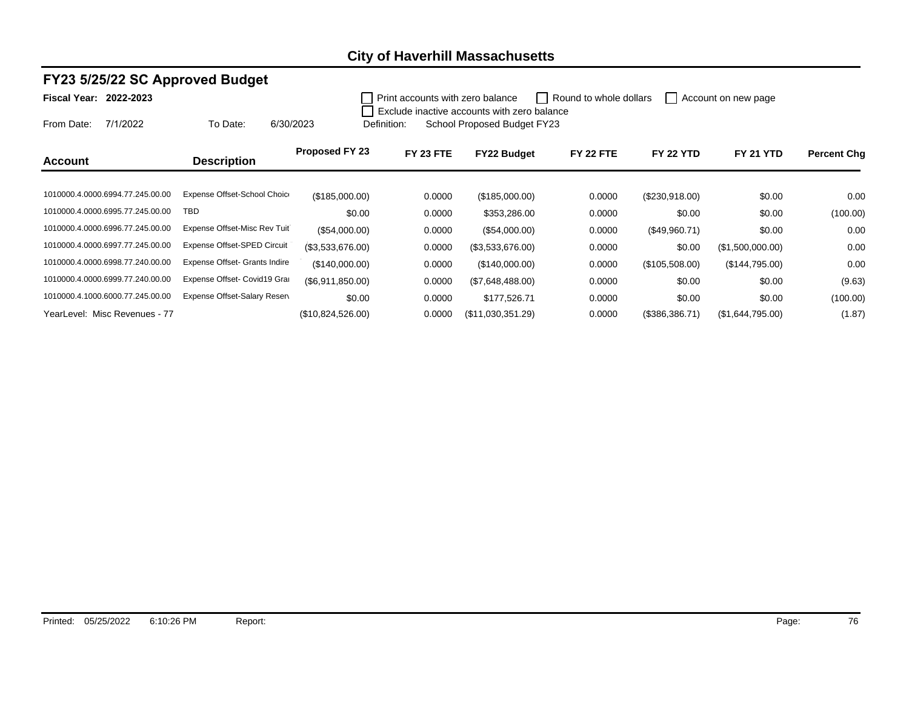#### **FY23 5/25/22 SC Approved Budget**

**Fiscal Year: 2022-2023**

Print accounts with zero balance Round to whole dollars  $\Box$  Account on new page Exclude inactive accounts with zero balance

From Date: 7/1/2022 To Date: 6/30/2023

|             | Exclude inactive accounts with zero balance |  |
|-------------|---------------------------------------------|--|
| Definition: | School Proposed Budget FY23                 |  |

1010000.4.0000.6994.77.245.00.00 Expense Offset-School Choice (\$185,000.00) 0.0000 (\$185,000.00) 0.0000 (\$230,918.00) \$0.00 0.00 1010000.4.0000.6995.77.245.00.00 TBD \$0.00 0.0000 \$353,286.00 0.0000 \$0.00 \$0.00 (100.00) 1010000.4.0000.6996.77.245.00.00 Expense Offset-Misc Rev Tuit (\$54,000.00) 0.0000 (\$54,000.00) 0.0000 (\$49,960.71) \$0.00 0.000 1010000.4.0000.6997.77.245.00.00 Expense Offset-SPED Circuit (\$3,533,676.00) 0.0000 (\$3,533,676.00) 0.0000 0.0000 \$0.00 (\$1,500,000.00) 0.00 1010000.4.0000.6998.77.240.00.00 Expense Offset- Grants Indire (\$140,000.00) 0.0000 (\$140,000.00) 0.0000 (\$105,508.00) (\$144,795.00) 0.00 1010000.4.0000.6999.77.240.00.00 Expense Offset- Covid19 Grand (\$6,911,850.00) 0.0000 (\$7,648,488.00) 0.0000 \$0.00 \$0.00 \$0.00 \$0.00 \$0.00 (9.63) 1010000.4.1000.6000.77.245.00.00 Expense Offset-Salary Reserves \$0.00 0.0000 \$177,526.71 0.0000 \$0.00 \$0.00 \$0.00 (100.00) YearLevel: Misc Revenues - 77 (\$10,824,526.00) 0.0000 (\$11,030,351.29) 0.0000 (\$386,386.71) (\$1,644,795.00) (1.87) **Account Description Proposed FY 23 FY 23 FTE FY22 Budget FY 22 FTE FY 22 YTD FY 21 YTD Percent Chg**